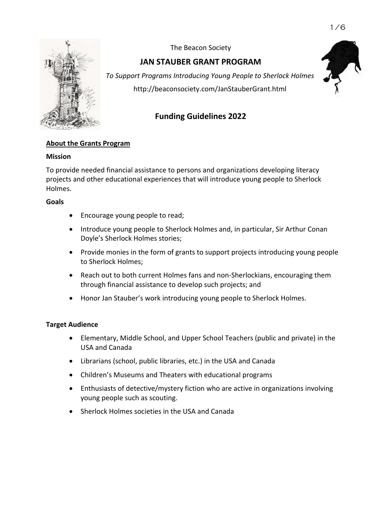

The Beacon Society

# **JAN STAUBER GRANT PROGRAM**

*To Support Programs Introducing Young People to Sherlock Holmes* http://beaconsociety.com/JanStauberGrant.html



# **Funding Guidelines 2022**

## **About the Grants Program**

#### **Mission**

To provide needed financial assistance to persons and organizations developing literacy projects and other educational experiences that will introduce young people to Sherlock Holmes.

#### **Goals**

- Encourage young people to read;
- Introduce young people to Sherlock Holmes and, in particular, Sir Arthur Conan Doyle's Sherlock Holmes stories;
- Provide monies in the form of grants to support projects introducing young people to Sherlock Holmes;
- Reach out to both current Holmes fans and non-Sherlockians, encouraging them through financial assistance to develop such projects; and
- Honor Jan Stauber's work introducing young people to Sherlock Holmes.

### **Target Audience**

- Elementary, Middle School, and Upper School Teachers (public and private) in the USA and Canada
- Librarians (school, public libraries, etc.) in the USA and Canada
- Children's Museums and Theaters with educational programs
- Enthusiasts of detective/mystery fiction who are active in organizations involving young people such as scouting.
- <span id="page-0-0"></span>Sherlock Holmes societies in the USA and Canada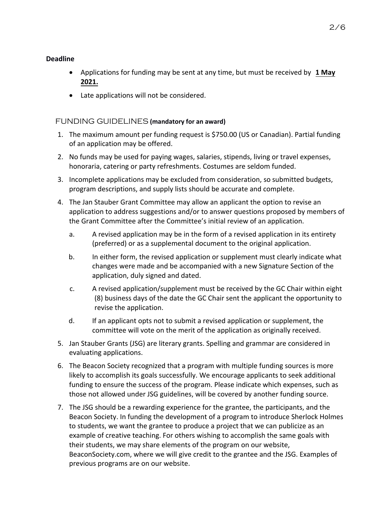#### **[Deadline](#page-0-0)**

- Applications for funding may be sent at any time, but must be received by **1 May 2022.**
- <span id="page-1-0"></span>• Late applications will not be considered.

### [FUNDING GUIDELINES](#page-1-0) **(mandatory for an award)**

- 1. The maximum amount per funding request is \$800.00 (US or Canadian). Partial funding of an application may be offered.
- 2. No funds may be used for paying wages, salaries, stipends, living or travel expenses, honoraria, catering or party refreshments. Costumes are seldom funded.
- 3. Incomplete applications may be excluded from consideration, so submitted budgets, program descriptions, and supply lists should be accurate and complete.
- 4. The Jan Stauber Grant Committee may allow an applicant the option to revise an application to address suggestions and/or to answer questions proposed by members of the Grant Committee after the Committee's initial review of an application.
	- a. A revised application may be in the form of a revised application in its entirety (preferred) or as a supplemental document to the original application.
	- b. In either form, the revised application or supplement must clearly indicate what changes were made and be accompanied with a new Signature Section of the application, duly signed and dated.
	- c. A revised application/supplement must be received by the GC Chair within eight (8) business days of the date the GC Chair sent the applicant the opportunity to revise the application.
	- d. If an applicant opts not to submit a revised application or supplement, the committee will vote on the merit of the application as originally received.
- 5. Jan Stauber Grants (JSG) are literary grants. Spelling and grammar are considered in evaluating applications.
- 6. The Beacon Society recognized that a program with multiple funding sources is more likely to accomplish its goals successfully. We encourage applicants to seek additional funding to ensure the success of the program. Please indicate which expenses, such as those not allowed under JSG guidelines, will be covered by another funding source.
- 7. The JSG should be a rewarding experience for the grantee, the participants, and the Beacon Society. In funding the development of a program to introduce Sherlock Holmes to students, we want the grantee to produce a project that we can publicize as an example of creative teaching. For others wishing to accomplish the same goals with their students, we may share elements of the program on our website, BeaconSociety.com, where we will give credit to the grantee and the JSG. Examples of previous programs are on our website.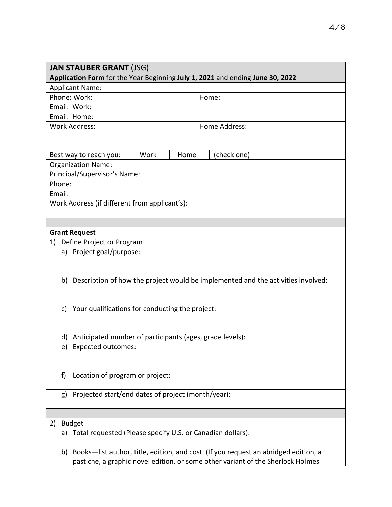